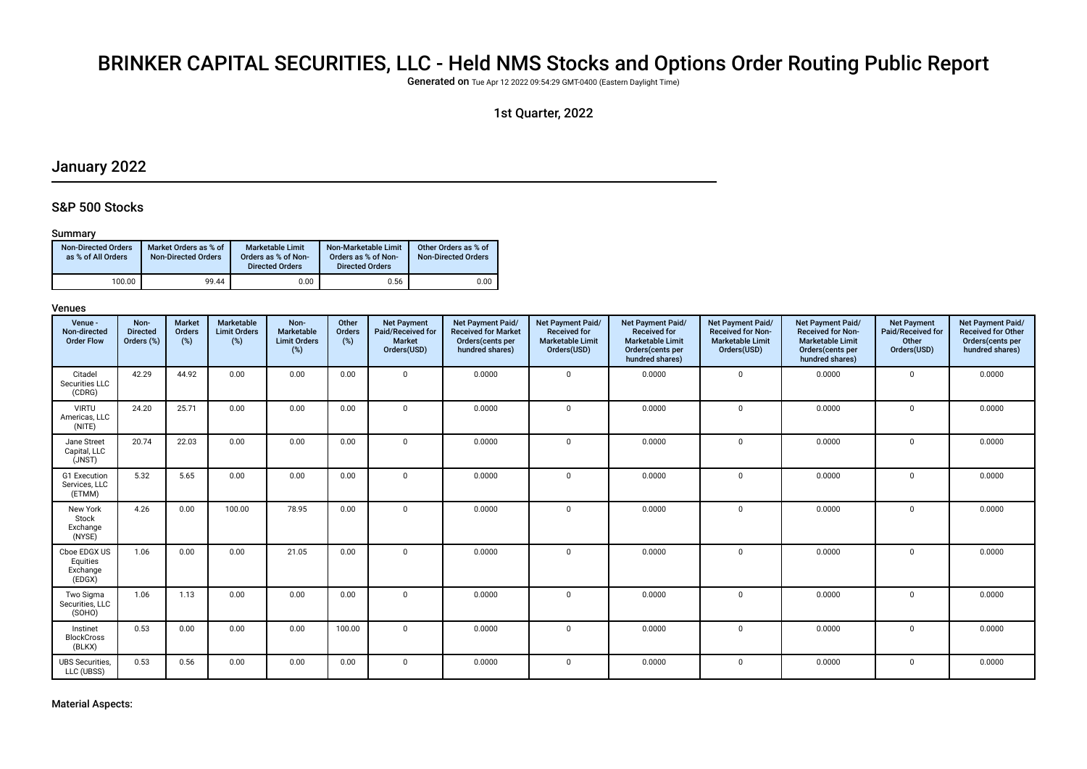# BRINKER CAPITAL SECURITIES, LLC - Held NMS Stocks and Options Order Routing Public Report

Generated on Tue Apr 12 2022 09:54:29 GMT-0400 (Eastern Daylight Time)

# 1st Quarter, 2022

# January 2022

### S&P 500 Stocks

#### Summary

| <b>Non-Directed Orders</b><br>as % of All Orders | Market Orders as % of<br><b>Non-Directed Orders</b> | Marketable Limit<br>Orders as % of Non-<br><b>Directed Orders</b> | Non-Marketable Limit<br>Orders as % of Non-<br><b>Directed Orders</b> | Other Orders as % of<br><b>Non-Directed Orders</b> |
|--------------------------------------------------|-----------------------------------------------------|-------------------------------------------------------------------|-----------------------------------------------------------------------|----------------------------------------------------|
| 100.00                                           | 99.44                                               | 0.00                                                              | 0.56                                                                  | 0.00                                               |

| Venue -<br>Non-directed<br><b>Order Flow</b>   | Non-<br><b>Directed</b><br>Orders (%) | <b>Market</b><br>Orders<br>(%) | <b>Marketable</b><br><b>Limit Orders</b><br>$(\%)$ | Non-<br>Marketable<br><b>Limit Orders</b><br>(%) | Other<br>Orders<br>(%) | <b>Net Payment</b><br>Paid/Received for<br><b>Market</b><br>Orders(USD) | Net Payment Paid/<br><b>Received for Market</b><br>Orders(cents per<br>hundred shares) | Net Payment Paid/<br><b>Received for</b><br><b>Marketable Limit</b><br>Orders(USD) | Net Payment Paid/<br><b>Received for</b><br><b>Marketable Limit</b><br>Orders (cents per<br>hundred shares) | Net Payment Paid/<br><b>Received for Non-</b><br><b>Marketable Limit</b><br>Orders(USD) | <b>Net Payment Paid/</b><br><b>Received for Non-</b><br><b>Marketable Limit</b><br>Orders (cents per<br>hundred shares) | <b>Net Payment</b><br>Paid/Received for<br>Other<br>Orders(USD) | Net Payment Paid/<br><b>Received for Other</b><br>Orders(cents per<br>hundred shares) |
|------------------------------------------------|---------------------------------------|--------------------------------|----------------------------------------------------|--------------------------------------------------|------------------------|-------------------------------------------------------------------------|----------------------------------------------------------------------------------------|------------------------------------------------------------------------------------|-------------------------------------------------------------------------------------------------------------|-----------------------------------------------------------------------------------------|-------------------------------------------------------------------------------------------------------------------------|-----------------------------------------------------------------|---------------------------------------------------------------------------------------|
| Citadel<br>Securities LLC<br>(CDRG)            | 42.29                                 | 44.92                          | 0.00                                               | 0.00                                             | 0.00                   | $\mathbf 0$                                                             | 0.0000                                                                                 | $\mathbf 0$                                                                        | 0.0000                                                                                                      | $\mathbf 0$                                                                             | 0.0000                                                                                                                  | $\mathbf 0$                                                     | 0.0000                                                                                |
| <b>VIRTU</b><br>Americas, LLC<br>(NITE)        | 24.20                                 | 25.71                          | 0.00                                               | 0.00                                             | 0.00                   | $\mathbf 0$                                                             | 0.0000                                                                                 | $\mathbf 0$                                                                        | 0.0000                                                                                                      | $\mathbf 0$                                                                             | 0.0000                                                                                                                  | $\mathbf 0$                                                     | 0.0000                                                                                |
| Jane Street<br>Capital, LLC<br>(JNST)          | 20.74                                 | 22.03                          | 0.00                                               | 0.00                                             | 0.00                   | $\mathbf 0$                                                             | 0.0000                                                                                 | $\mathbf{0}$                                                                       | 0.0000                                                                                                      | $\mathbf 0$                                                                             | 0.0000                                                                                                                  | $\mathbf 0$                                                     | 0.0000                                                                                |
| G1 Execution<br>Services, LLC<br>(ETMM)        | 5.32                                  | 5.65                           | 0.00                                               | 0.00                                             | 0.00                   | $\mathbf 0$                                                             | 0.0000                                                                                 | $\Omega$                                                                           | 0.0000                                                                                                      | $\mathbf 0$                                                                             | 0.0000                                                                                                                  | $\mathbf 0$                                                     | 0.0000                                                                                |
| New York<br>Stock<br>Exchange<br>(NYSE)        | 4.26                                  | 0.00                           | 100.00                                             | 78.95                                            | 0.00                   | $\mathbf 0$                                                             | 0.0000                                                                                 | $\mathbf{0}$                                                                       | 0.0000                                                                                                      | $\mathbf 0$                                                                             | 0.0000                                                                                                                  | $\mathbf 0$                                                     | 0.0000                                                                                |
| Cboe EDGX US<br>Equities<br>Exchange<br>(EDGX) | 1.06                                  | 0.00                           | 0.00                                               | 21.05                                            | 0.00                   | $\mathbf 0$                                                             | 0.0000                                                                                 | $\Omega$                                                                           | 0.0000                                                                                                      | $\mathbf 0$                                                                             | 0.0000                                                                                                                  | $\mathbf 0$                                                     | 0.0000                                                                                |
| Two Sigma<br>Securities, LLC<br>(SOHO)         | 1.06                                  | 1.13                           | 0.00                                               | 0.00                                             | 0.00                   | $\mathbf 0$                                                             | 0.0000                                                                                 | $\mathbf 0$                                                                        | 0.0000                                                                                                      | $\mathbf 0$                                                                             | 0.0000                                                                                                                  | $\mathbf 0$                                                     | 0.0000                                                                                |
| Instinet<br><b>BlockCross</b><br>(BLKX)        | 0.53                                  | 0.00                           | 0.00                                               | 0.00                                             | 100.00                 | $\Omega$                                                                | 0.0000                                                                                 | $\Omega$                                                                           | 0.0000                                                                                                      | $\mathbf 0$                                                                             | 0.0000                                                                                                                  | $\Omega$                                                        | 0.0000                                                                                |
| <b>UBS Securities,</b><br>LLC (UBSS)           | 0.53                                  | 0.56                           | 0.00                                               | 0.00                                             | 0.00                   | $\mathbf 0$                                                             | 0.0000                                                                                 | $\mathbf{0}$                                                                       | 0.0000                                                                                                      | 0                                                                                       | 0.0000                                                                                                                  | $\mathbf 0$                                                     | 0.0000                                                                                |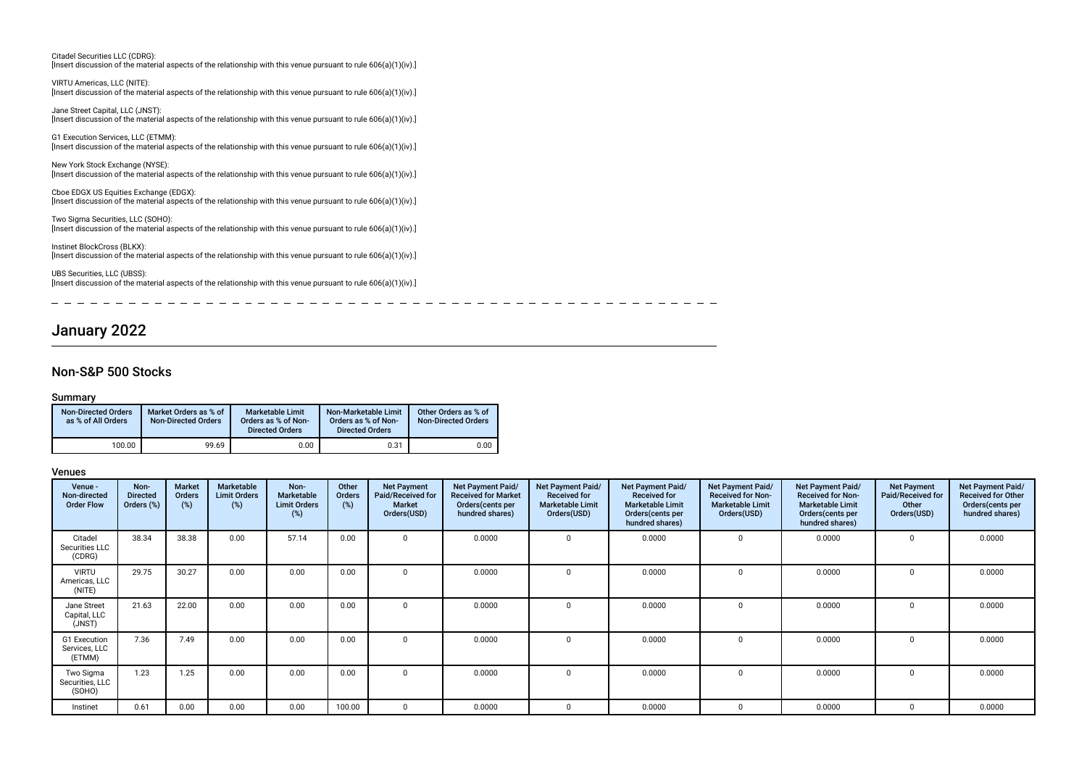| Citadel Securities LLC (CDRG):<br>[Insert discussion of the material aspects of the relationship with this venue pursuant to rule $606(a)(1)(iv)$ .]         |
|--------------------------------------------------------------------------------------------------------------------------------------------------------------|
| VIRTU Americas, LLC (NITE):                                                                                                                                  |
| [Insert discussion of the material aspects of the relationship with this venue pursuant to rule $606(a)(1)(iv)$ .]                                           |
| Jane Street Capital, LLC (JNST):<br>[Insert discussion of the material aspects of the relationship with this venue pursuant to rule $606(a)(1)(iv)$ .]       |
| G1 Execution Services, LLC (ETMM):<br>[Insert discussion of the material aspects of the relationship with this venue pursuant to rule $606(a)(1)(iv)$ .]     |
| New York Stock Exchange (NYSE):<br>[Insert discussion of the material aspects of the relationship with this venue pursuant to rule $606(a)(1)(iv)$ .]        |
| Cboe EDGX US Equities Exchange (EDGX):<br>[Insert discussion of the material aspects of the relationship with this venue pursuant to rule $606(a)(1)(iv)$ .] |
| Two Sigma Securities, LLC (SOHO):<br>[Insert discussion of the material aspects of the relationship with this venue pursuant to rule $606(a)(1)(iv)$ .]      |
| Instinet BlockCross (BLKX):<br>[Insert discussion of the material aspects of the relationship with this venue pursuant to rule $606(a)(1)(iv)$ .]            |
| UBS Securities, LLC (UBSS):<br>[Insert discussion of the material aspects of the relationship with this venue pursuant to rule $606(a)(1)(iv)$ .]            |

January 2022

# Non-S&P 500 Stocks

### Summary

 $\overline{\phantom{a}}$ 

| <b>Non-Directed Orders</b><br>as % of All Orders | Market Orders as % of<br><b>Non-Directed Orders</b> | <b>Marketable Limit</b><br>Orders as % of Non-<br><b>Directed Orders</b> | Non-Marketable Limit<br>Orders as % of Non-<br><b>Directed Orders</b> | Other Orders as % of<br><b>Non-Directed Orders</b> |  |
|--------------------------------------------------|-----------------------------------------------------|--------------------------------------------------------------------------|-----------------------------------------------------------------------|----------------------------------------------------|--|
| 100.00                                           | 99.69                                               | 0.00                                                                     | 0.31                                                                  | 0.00                                               |  |

<u>----------------</u>

#### Venues

| Venue -<br>Non-directed<br><b>Order Flow</b> | Non-<br><b>Directed</b><br>Orders (%) | <b>Market</b><br>Orders<br>(%) | Marketable<br><b>Limit Orders</b><br>$(\%)$ | Non-<br><b>Marketable</b><br><b>Limit Orders</b><br>(%) | Other<br>Orders<br>(%) | <b>Net Payment</b><br>Paid/Received for<br><b>Market</b><br>Orders(USD) | Net Payment Paid/<br><b>Received for Market</b><br>Orders(cents per<br>hundred shares) | Net Payment Paid/<br><b>Received for</b><br><b>Marketable Limit</b><br>Orders(USD) | Net Payment Paid/<br><b>Received for</b><br><b>Marketable Limit</b><br>Orders(cents per<br>hundred shares) | <b>Net Payment Paid/</b><br><b>Received for Non-</b><br><b>Marketable Limit</b><br>Orders(USD) | Net Payment Paid/<br><b>Received for Non-</b><br><b>Marketable Limit</b><br>Orders(cents per<br>hundred shares) | <b>Net Payment</b><br>Paid/Received for<br>Other<br>Orders(USD) | Net Payment Paid/<br><b>Received for Other</b><br>Orders (cents per<br>hundred shares) |
|----------------------------------------------|---------------------------------------|--------------------------------|---------------------------------------------|---------------------------------------------------------|------------------------|-------------------------------------------------------------------------|----------------------------------------------------------------------------------------|------------------------------------------------------------------------------------|------------------------------------------------------------------------------------------------------------|------------------------------------------------------------------------------------------------|-----------------------------------------------------------------------------------------------------------------|-----------------------------------------------------------------|----------------------------------------------------------------------------------------|
| Citadel<br>Securities LLC<br>(CDRG)          | 38.34                                 | 38.38                          | 0.00                                        | 57.14                                                   | 0.00                   |                                                                         | 0.0000                                                                                 | $\Omega$                                                                           | 0.0000                                                                                                     | 0                                                                                              | 0.0000                                                                                                          |                                                                 | 0.0000                                                                                 |
| <b>VIRTU</b><br>Americas, LLC<br>(NITE)      | 29.75                                 | 30.27                          | 0.00                                        | 0.00                                                    | 0.00                   |                                                                         | 0.0000                                                                                 | $\Omega$                                                                           | 0.0000                                                                                                     | $\Omega$                                                                                       | 0.0000                                                                                                          |                                                                 | 0.0000                                                                                 |
| Jane Street<br>Capital, LLC<br>(JNST)        | 21.63                                 | 22.00                          | 0.00                                        | 0.00                                                    | 0.00                   |                                                                         | 0.0000                                                                                 | $\Omega$                                                                           | 0.0000                                                                                                     | $\Omega$                                                                                       | 0.0000                                                                                                          |                                                                 | 0.0000                                                                                 |
| G1 Execution<br>Services, LLC<br>(ETMM)      | 7.36                                  | 7.49                           | 0.00                                        | 0.00                                                    | 0.00                   |                                                                         | 0.0000                                                                                 | $\Omega$                                                                           | 0.0000                                                                                                     | 0                                                                                              | 0.0000                                                                                                          |                                                                 | 0.0000                                                                                 |
| Two Sigma<br>Securities, LLC<br>(SOHO)       | 1.23                                  | 1.25                           | 0.00                                        | 0.00                                                    | 0.00                   | $\Omega$                                                                | 0.0000                                                                                 | $\Omega$                                                                           | 0.0000                                                                                                     | 0                                                                                              | 0.0000                                                                                                          | $\Omega$                                                        | 0.0000                                                                                 |
| Instinet                                     | 0.61                                  | 0.00                           | 0.00                                        | 0.00                                                    | 100.00                 | $\Omega$                                                                | 0.0000                                                                                 | $\Omega$                                                                           | 0.0000                                                                                                     | $\Omega$                                                                                       | 0.0000                                                                                                          | $\Omega$                                                        | 0.0000                                                                                 |

 $\sim$   $-$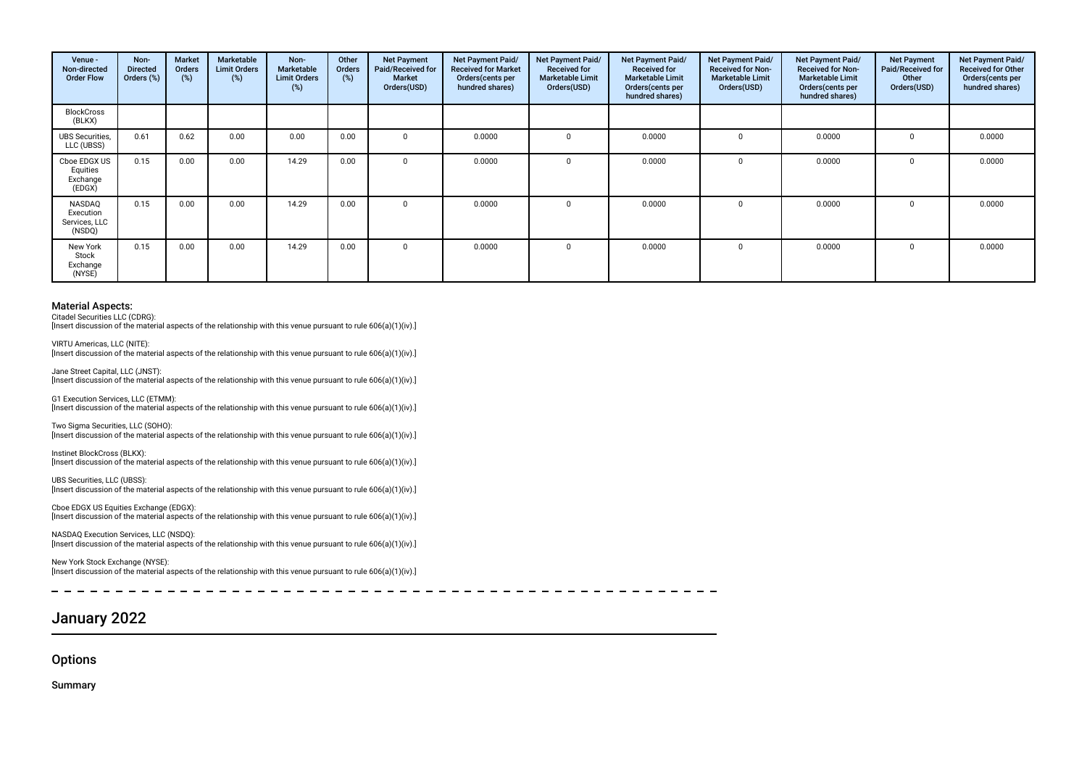| Venue -<br>Non-directed<br><b>Order Flow</b>   | Non-<br><b>Directed</b><br>Orders (%) | Market<br>Orders<br>(%) | Marketable<br><b>Limit Orders</b><br>$(\%)$ | Non-<br>Marketable<br><b>Limit Orders</b><br>(%) | Other<br>Orders<br>(%) | <b>Net Payment</b><br>Paid/Received for<br><b>Market</b><br>Orders(USD) | Net Payment Paid/<br><b>Received for Market</b><br>Orders (cents per<br>hundred shares) | Net Payment Paid/<br><b>Received for</b><br><b>Marketable Limit</b><br>Orders(USD) | Net Payment Paid/<br><b>Received for</b><br><b>Marketable Limit</b><br>Orders (cents per<br>hundred shares) | Net Payment Paid/<br><b>Received for Non-</b><br><b>Marketable Limit</b><br>Orders(USD) | Net Payment Paid/<br><b>Received for Non-</b><br><b>Marketable Limit</b><br>Orders (cents per<br>hundred shares) | <b>Net Payment</b><br>Paid/Received for<br>Other<br>Orders(USD) | Net Payment Paid/<br>Received for Other<br>Orders(cents per<br>hundred shares) |
|------------------------------------------------|---------------------------------------|-------------------------|---------------------------------------------|--------------------------------------------------|------------------------|-------------------------------------------------------------------------|-----------------------------------------------------------------------------------------|------------------------------------------------------------------------------------|-------------------------------------------------------------------------------------------------------------|-----------------------------------------------------------------------------------------|------------------------------------------------------------------------------------------------------------------|-----------------------------------------------------------------|--------------------------------------------------------------------------------|
| <b>BlockCross</b><br>(BLKX)                    |                                       |                         |                                             |                                                  |                        |                                                                         |                                                                                         |                                                                                    |                                                                                                             |                                                                                         |                                                                                                                  |                                                                 |                                                                                |
| <b>UBS</b> Securities,<br>LLC (UBSS)           | 0.61                                  | 0.62                    | 0.00                                        | 0.00                                             | 0.00                   |                                                                         | 0.0000                                                                                  |                                                                                    | 0.0000                                                                                                      |                                                                                         | 0.0000                                                                                                           |                                                                 | 0.0000                                                                         |
| Cboe EDGX US<br>Equities<br>Exchange<br>(EDGX) | 0.15                                  | 0.00                    | 0.00                                        | 14.29                                            | 0.00                   |                                                                         | 0.0000                                                                                  | $\Omega$                                                                           | 0.0000                                                                                                      |                                                                                         | 0.0000                                                                                                           | $\Omega$                                                        | 0.0000                                                                         |
| NASDAQ<br>Execution<br>Services, LLC<br>(NSDQ) | 0.15                                  | 0.00                    | 0.00                                        | 14.29                                            | 0.00                   |                                                                         | 0.0000                                                                                  |                                                                                    | 0.0000                                                                                                      |                                                                                         | 0.0000                                                                                                           |                                                                 | 0.0000                                                                         |
| New York<br>Stock<br>Exchange<br>(NYSE)        | 0.15                                  | 0.00                    | 0.00                                        | 14.29                                            | 0.00                   |                                                                         | 0.0000                                                                                  |                                                                                    | 0.0000                                                                                                      |                                                                                         | 0.0000                                                                                                           |                                                                 | 0.0000                                                                         |

Citadel Securities LLC (CDRG):

Insert discussion of the material aspects of the relationship with this venue pursuant to rule 606(a)(1)(iv).

VIRTU Americas, LLC (NITE): [Insert discussion of the material aspects of the relationship with this venue pursuant to rule 606(a)(1)(iv).]

Jane Street Capital, LLC (JNST): [Insert discussion of the material aspects of the relationship with this venue pursuant to rule 606(a)(1)(iv).]

G1 Execution Services, LLC (ETMM): [Insert discussion of the material aspects of the relationship with this venue pursuant to rule 606(a)(1)(iv).]

Two Sigma Securities, LLC (SOHO):  $\frac{1}{10}$  [Insert discussion of the material aspects of the relationship with this venue pursuant to rule 606(a)(1)(iv).]

Instinet BlockCross (BLKX): [Insert discussion of the material aspects of the relationship with this venue pursuant to rule 606(a)(1)(iv).]

UBS Securities, LLC (UBSS): [Insert discussion of the material aspects of the relationship with this venue pursuant to rule 606(a)(1)(iv).]

Cboe EDGX US Equities Exchange (EDGX): [Insert discussion of the material aspects of the relationship with this venue pursuant to rule 606(a)(1)(iv).]

NASDAQ Execution Services, LLC (NSDQ): [Insert discussion of the material aspects of the relationship with this venue pursuant to rule 606(a)(1)(iv).]

New York Stock Exchange (NYSE): [Insert discussion of the material aspects of the relationship with this venue pursuant to rule 606(a)(1)(iv).]

# January 2022

**Options** 

Summary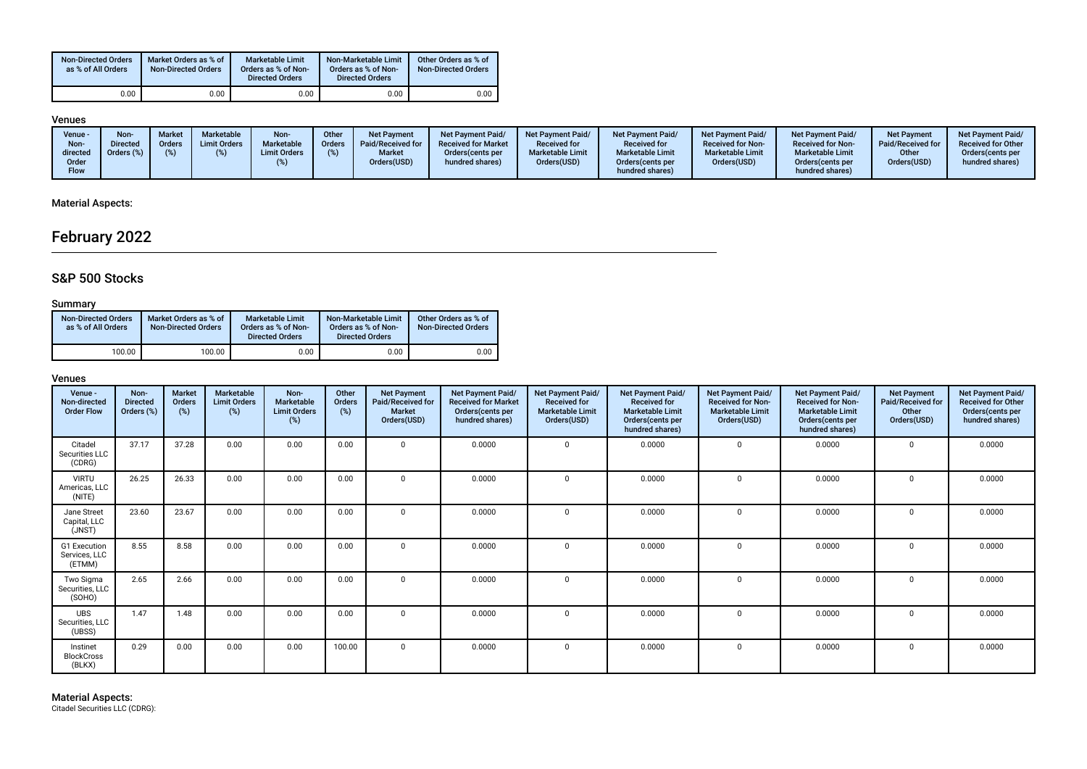| <b>Non-Directed Orders</b><br>as % of All Orders | Market Orders as % of<br><b>Non-Directed Orders</b> | <b>Marketable Limit</b><br>Orders as % of Non-<br><b>Directed Orders</b> | Non-Marketable Limit<br>Orders as % of Non-<br><b>Directed Orders</b> | Other Orders as % of<br><b>Non-Directed Orders</b> |
|--------------------------------------------------|-----------------------------------------------------|--------------------------------------------------------------------------|-----------------------------------------------------------------------|----------------------------------------------------|
| 0.00                                             | 0.00                                                | 0.00                                                                     | $0.00\,$                                                              | 0.00                                               |

#### Venues

| ____                                              |                                             |                |                                          |                                           |                        |                                                                         |                                                                                         |                                                                                           |                                                                                                             |                                                                                                |                                                                                                                 |                                                                 |                                                                                               |
|---------------------------------------------------|---------------------------------------------|----------------|------------------------------------------|-------------------------------------------|------------------------|-------------------------------------------------------------------------|-----------------------------------------------------------------------------------------|-------------------------------------------------------------------------------------------|-------------------------------------------------------------------------------------------------------------|------------------------------------------------------------------------------------------------|-----------------------------------------------------------------------------------------------------------------|-----------------------------------------------------------------|-----------------------------------------------------------------------------------------------|
| Venue<br>Non-<br>directed<br>Order<br><b>Flow</b> | <b>Non</b><br><b>Directed</b><br>Orders (%) | Marke<br>Order | <b>Marketable</b><br><b>Limit Orders</b> | Non-<br>Marketable<br><b>Limit Orders</b> | Other<br><b>Orders</b> | <b>Net Payment</b><br>Paid/Received for<br><b>Market</b><br>Orders(USD) | Net Payment Paid/<br><b>Received for Market</b><br>Orders (cents per<br>hundred shares) | <b>Net Payment Paid/</b><br><b>Received for</b><br><b>Marketable Limit</b><br>Orders(USD) | Net Payment Paid/<br><b>Received for</b><br><b>Marketable Limit</b><br>Orders (cents per<br>hundred shares) | <b>Net Payment Paid/</b><br><b>Received for Non-</b><br><b>Marketable Limit</b><br>Orders(USD) | Net Payment Paid/<br><b>Received for Non-</b><br><b>Marketable Limit</b><br>Orders(cents per<br>hundred shares) | <b>Net Payment</b><br>Paid/Received for<br>Other<br>Orders(USD) | <b>Net Payment Paid/</b><br><b>Received for Other</b><br>Orders (cents per<br>hundred shares) |
|                                                   |                                             |                |                                          |                                           |                        |                                                                         |                                                                                         |                                                                                           |                                                                                                             |                                                                                                |                                                                                                                 |                                                                 |                                                                                               |

## Material Aspects:

# February 2022

## S&P 500 Stocks

### **Summary**

| <b>Non-Directed Orders</b><br>as % of All Orders | Market Orders as % of<br><b>Non-Directed Orders</b> | <b>Marketable Limit</b><br>Orders as % of Non-<br><b>Directed Orders</b> | Non-Marketable Limit<br>Orders as % of Non-<br><b>Directed Orders</b> | Other Orders as % of<br><b>Non-Directed Orders</b> |
|--------------------------------------------------|-----------------------------------------------------|--------------------------------------------------------------------------|-----------------------------------------------------------------------|----------------------------------------------------|
| 100.00                                           | 100.00                                              | 0.00                                                                     | 0.00                                                                  | 0.00                                               |

| Venue -<br>Non-directed<br><b>Order Flow</b> | Non-<br><b>Directed</b><br>Orders (%) | Market<br>Orders<br>$(\%)$ | Marketable<br><b>Limit Orders</b><br>$(\%)$ | Non-<br>Marketable<br><b>Limit Orders</b><br>(%) | Other<br>Orders<br>(%) | <b>Net Payment</b><br>Paid/Received for<br><b>Market</b><br>Orders(USD) | Net Payment Paid/<br><b>Received for Market</b><br>Orders(cents per<br>hundred shares) | Net Payment Paid/<br><b>Received for</b><br><b>Marketable Limit</b><br>Orders(USD) | Net Payment Paid/<br><b>Received for</b><br><b>Marketable Limit</b><br>Orders(cents per<br>hundred shares) | Net Payment Paid/<br><b>Received for Non-</b><br><b>Marketable Limit</b><br>Orders(USD) | Net Payment Paid/<br><b>Received for Non-</b><br><b>Marketable Limit</b><br>Orders (cents per<br>hundred shares) | <b>Net Payment</b><br>Paid/Received for<br>Other<br>Orders(USD) | Net Payment Paid/<br><b>Received for Other</b><br>Orders(cents per<br>hundred shares) |
|----------------------------------------------|---------------------------------------|----------------------------|---------------------------------------------|--------------------------------------------------|------------------------|-------------------------------------------------------------------------|----------------------------------------------------------------------------------------|------------------------------------------------------------------------------------|------------------------------------------------------------------------------------------------------------|-----------------------------------------------------------------------------------------|------------------------------------------------------------------------------------------------------------------|-----------------------------------------------------------------|---------------------------------------------------------------------------------------|
| Citadel<br>Securities LLC<br>(CDRG)          | 37.17                                 | 37.28                      | 0.00                                        | 0.00                                             | 0.00                   | $\mathbf{0}$                                                            | 0.0000                                                                                 | $\mathbf{0}$                                                                       | 0.0000                                                                                                     | $\mathbf 0$                                                                             | 0.0000                                                                                                           | $\mathbf 0$                                                     | 0.0000                                                                                |
| <b>VIRTU</b><br>Americas, LLC<br>(NITE)      | 26.25                                 | 26.33                      | 0.00                                        | 0.00                                             | 0.00                   | $\Omega$                                                                | 0.0000                                                                                 | $\Omega$                                                                           | 0.0000                                                                                                     | $\mathbf 0$                                                                             | 0.0000                                                                                                           | $\Omega$                                                        | 0.0000                                                                                |
| Jane Street<br>Capital, LLC<br>(JNST)        | 23.60                                 | 23.67                      | 0.00                                        | 0.00                                             | 0.00                   | $\mathbf{0}$                                                            | 0.0000                                                                                 | $\Omega$                                                                           | 0.0000                                                                                                     | $\mathbf 0$                                                                             | 0.0000                                                                                                           | $\Omega$                                                        | 0.0000                                                                                |
| G1 Execution<br>Services, LLC<br>(ETMM)      | 8.55                                  | 8.58                       | 0.00                                        | 0.00                                             | 0.00                   | $\mathbf{0}$                                                            | 0.0000                                                                                 | $\Omega$                                                                           | 0.0000                                                                                                     | $^{\circ}$                                                                              | 0.0000                                                                                                           | $\Omega$                                                        | 0.0000                                                                                |
| Two Sigma<br>Securities, LLC<br>(SOHO)       | 2.65                                  | 2.66                       | 0.00                                        | 0.00                                             | 0.00                   | $\Omega$                                                                | 0.0000                                                                                 | $\Omega$                                                                           | 0.0000                                                                                                     | $\mathbf 0$                                                                             | 0.0000                                                                                                           | $\Omega$                                                        | 0.0000                                                                                |
| <b>UBS</b><br>Securities, LLC<br>(UBSS)      | 1.47                                  | 1.48                       | 0.00                                        | 0.00                                             | 0.00                   | $\mathbf{0}$                                                            | 0.0000                                                                                 | $\Omega$                                                                           | 0.0000                                                                                                     | $\mathbf 0$                                                                             | 0.0000                                                                                                           | $\Omega$                                                        | 0.0000                                                                                |
| Instinet<br><b>BlockCross</b><br>(BLKX)      | 0.29                                  | 0.00                       | 0.00                                        | 0.00                                             | 100.00                 | $\Omega$                                                                | 0.0000                                                                                 | $\Omega$                                                                           | 0.0000                                                                                                     | $^{\circ}$                                                                              | 0.0000                                                                                                           | $\Omega$                                                        | 0.0000                                                                                |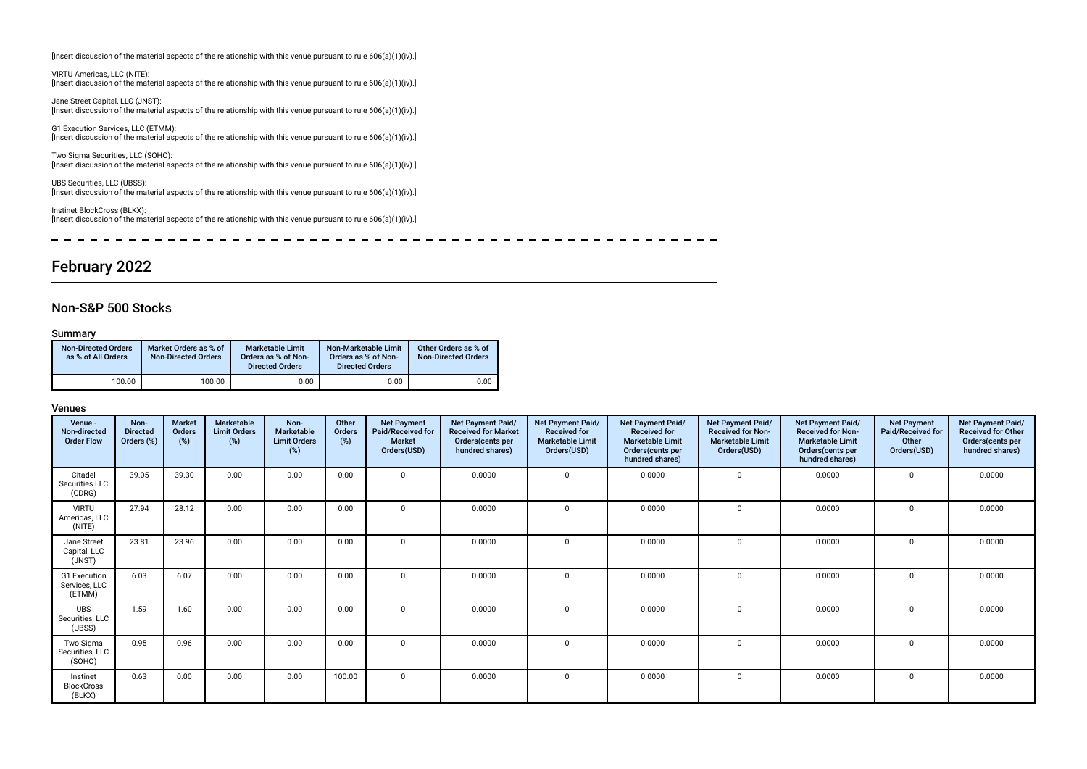[Insert discussion of the material aspects of the relationship with this venue pursuant to rule 606(a)(1)(iv).]

VIRTU Americas, LLC (NITE): [Insert discussion of the material aspects of the relationship with this venue pursuant to rule 606(a)(1)(iv).]

Jane Street Capital, LLC (JNST): [Insert discussion of the material aspects of the relationship with this venue pursuant to rule 606(a)(1)(iv).]

G1 Execution Services, LLC (ETMM): [Insert discussion of the material aspects of the relationship with this venue pursuant to rule 606(a)(1)(iv).]

Two Sigma Securities, LLC (SOHO): [Insert discussion of the material aspects of the relationship with this venue pursuant to rule 606(a)(1)(iv).]

UBS Securities, LLC (UBSS): [Insert discussion of the material aspects of the relationship with this venue pursuant to rule 606(a)(1)(iv).]

Instinet BlockCross (BLKX): [Insert discussion of the material aspects of the relationship with this venue pursuant to rule 606(a)(1)(iv).]

 $\equiv$ ------------------- $\equiv$  $\equiv$  $\sim$   $\sim$   $\frac{1}{2} \left( \frac{1}{2} \right) \left( \frac{1}{2} \right) \left( \frac{1}{2} \right) \left( \frac{1}{2} \right) \left( \frac{1}{2} \right) \left( \frac{1}{2} \right) \left( \frac{1}{2} \right) \left( \frac{1}{2} \right) \left( \frac{1}{2} \right) \left( \frac{1}{2} \right) \left( \frac{1}{2} \right) \left( \frac{1}{2} \right) \left( \frac{1}{2} \right) \left( \frac{1}{2} \right) \left( \frac{1}{2} \right) \left( \frac{1}{2} \right) \left( \frac$  $\sim$   $- - - - - - - -$ 

# February 2022

### Non-S&P 500 Stocks

#### Summary

| <b>Non-Directed Orders</b><br>as % of All Orders | Market Orders as % of<br><b>Non-Directed Orders</b> | <b>Marketable Limit</b><br>Orders as % of Non-<br><b>Directed Orders</b> | Non-Marketable Limit<br>Orders as % of Non-<br><b>Directed Orders</b> | Other Orders as % of<br><b>Non-Directed Orders</b> |
|--------------------------------------------------|-----------------------------------------------------|--------------------------------------------------------------------------|-----------------------------------------------------------------------|----------------------------------------------------|
| 100.00                                           | 100.00                                              | 0.00                                                                     | 0.00                                                                  | 0.00                                               |

| Venue -<br>Non-directed<br><b>Order Flow</b> | Non-<br><b>Directed</b><br>Orders (%) | Market<br>Orders<br>(%) | Marketable<br><b>Limit Orders</b><br>(%) | Non-<br>Marketable<br><b>Limit Orders</b><br>(%) | Other<br>Orders<br>(%) | <b>Net Payment</b><br>Paid/Received for<br><b>Market</b><br>Orders(USD) | Net Payment Paid/<br><b>Received for Market</b><br>Orders (cents per<br>hundred shares) | Net Payment Paid/<br><b>Received for</b><br><b>Marketable Limit</b><br>Orders(USD) | Net Payment Paid/<br><b>Received for</b><br><b>Marketable Limit</b><br>Orders(cents per<br>hundred shares) | Net Payment Paid/<br><b>Received for Non-</b><br><b>Marketable Limit</b><br>Orders(USD) | Net Payment Paid/<br><b>Received for Non-</b><br><b>Marketable Limit</b><br>Orders(cents per<br>hundred shares) | <b>Net Payment</b><br>Paid/Received for<br>Other<br>Orders(USD) | Net Payment Paid/<br><b>Received for Other</b><br>Orders(cents per<br>hundred shares) |
|----------------------------------------------|---------------------------------------|-------------------------|------------------------------------------|--------------------------------------------------|------------------------|-------------------------------------------------------------------------|-----------------------------------------------------------------------------------------|------------------------------------------------------------------------------------|------------------------------------------------------------------------------------------------------------|-----------------------------------------------------------------------------------------|-----------------------------------------------------------------------------------------------------------------|-----------------------------------------------------------------|---------------------------------------------------------------------------------------|
| Citadel<br>Securities LLC<br>(CDRG)          | 39.05                                 | 39.30                   | 0.00                                     | 0.00                                             | 0.00                   | $\Omega$                                                                | 0.0000                                                                                  |                                                                                    | 0.0000                                                                                                     | $\mathbf 0$                                                                             | 0.0000                                                                                                          | $\Omega$                                                        | 0.0000                                                                                |
| <b>VIRTU</b><br>Americas, LLC<br>(NITE)      | 27.94                                 | 28.12                   | 0.00                                     | 0.00                                             | 0.00                   | $\overline{0}$                                                          | 0.0000                                                                                  | $\Omega$                                                                           | 0.0000                                                                                                     | $\Omega$                                                                                | 0.0000                                                                                                          | $\mathbf 0$                                                     | 0.0000                                                                                |
| Jane Street<br>Capital, LLC<br>(JNST)        | 23.81                                 | 23.96                   | 0.00                                     | 0.00                                             | 0.00                   | $\Omega$                                                                | 0.0000                                                                                  |                                                                                    | 0.0000                                                                                                     | $\mathbf 0$                                                                             | 0.0000                                                                                                          | 0                                                               | 0.0000                                                                                |
| G1 Execution<br>Services, LLC<br>(ETMM)      | 6.03                                  | 6.07                    | 0.00                                     | 0.00                                             | 0.00                   | $\mathbf{0}$                                                            | 0.0000                                                                                  | $\Omega$                                                                           | 0.0000                                                                                                     | $\mathbf 0$                                                                             | 0.0000                                                                                                          | $\mathbf 0$                                                     | 0.0000                                                                                |
| <b>UBS</b><br>Securities, LLC<br>(UBSS)      | 1.59                                  | 1.60                    | 0.00                                     | 0.00                                             | 0.00                   | $\Omega$                                                                | 0.0000                                                                                  |                                                                                    | 0.0000                                                                                                     | $\mathbf 0$                                                                             | 0.0000                                                                                                          | $\Omega$                                                        | 0.0000                                                                                |
| Two Sigma<br>Securities, LLC<br>(SOHO)       | 0.95                                  | 0.96                    | 0.00                                     | 0.00                                             | 0.00                   | $\Omega$                                                                | 0.0000                                                                                  |                                                                                    | 0.0000                                                                                                     | $\mathbf 0$                                                                             | 0.0000                                                                                                          | $\Omega$                                                        | 0.0000                                                                                |
| Instinet<br><b>BlockCross</b><br>(BLKX)      | 0.63                                  | 0.00                    | 0.00                                     | 0.00                                             | 100.00                 | $\mathbf{0}$                                                            | 0.0000                                                                                  | $\Omega$                                                                           | 0.0000                                                                                                     | $\mathbf{0}$                                                                            | 0.0000                                                                                                          | $\mathbf 0$                                                     | 0.0000                                                                                |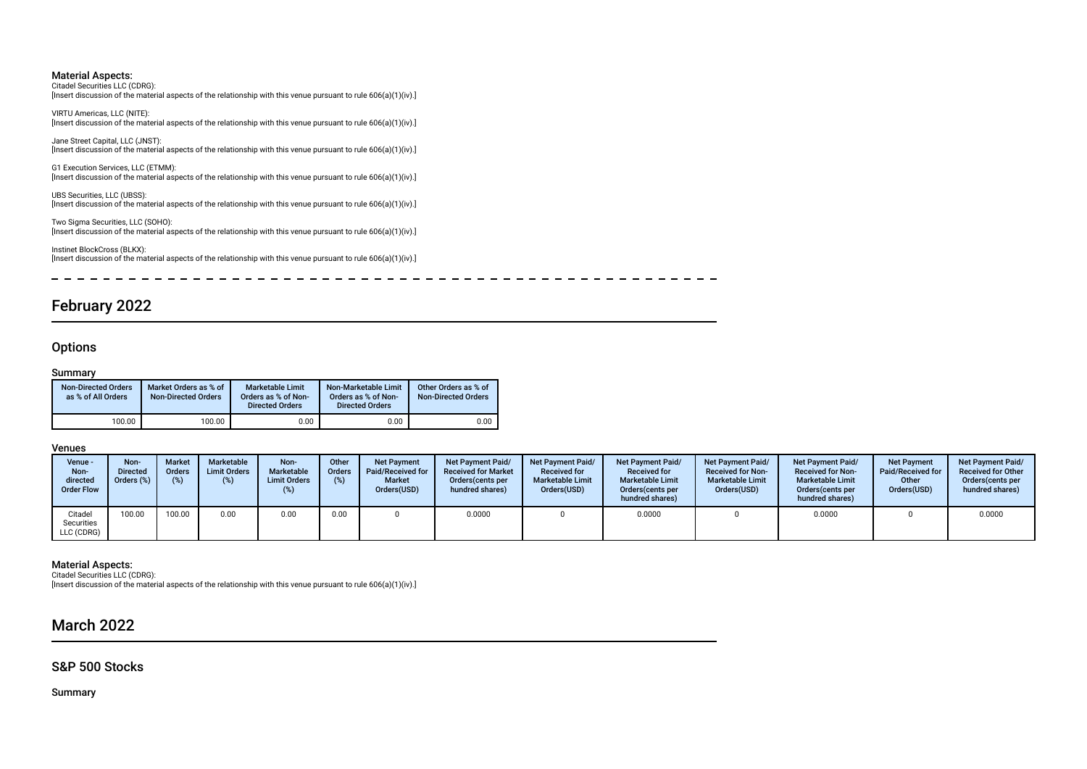Citadel Securities LLC (CDRG): [Insert discussion of the material aspects of the relationship with this venue pursuant to rule 606(a)(1)(iv).]

VIRTU Americas, LLC (NITE): [Insert discussion of the material aspects of the relationship with this venue pursuant to rule 606(a)(1)(iv).]

Jane Street Capital, LLC (JNST): [Insert discussion of the material aspects of the relationship with this venue pursuant to rule 606(a)(1)(iv).]

G1 Execution Services, LLC (ETMM): [Insert discussion of the material aspects of the relationship with this venue pursuant to rule 606(a)(1)(iv).]

UBS Securities, LLC (UBSS): [Insert discussion of the material aspects of the relationship with this venue pursuant to rule 606(a)(1)(iv).]

Two Sigma Securities, LLC (SOHO): [Insert discussion of the material aspects of the relationship with this venue pursuant to rule 606(a)(1)(iv).]

Instinet BlockCross (BLKX): [Insert discussion of the material aspects of the relationship with this venue pursuant to rule 606(a)(1)(iv).]

 $\equiv$ --------------------

# February 2022

### **Options**

#### Summary

| <b>Non-Directed Orders</b><br>as % of All Orders | Market Orders as % of<br><b>Non-Directed Orders</b> | <b>Marketable Limit</b><br>Orders as % of Non-<br><b>Directed Orders</b> | Non-Marketable Limit<br>Orders as % of Non-<br><b>Directed Orders</b> | Other Orders as % of<br><b>Non-Directed Orders</b> |
|--------------------------------------------------|-----------------------------------------------------|--------------------------------------------------------------------------|-----------------------------------------------------------------------|----------------------------------------------------|
| 100.00                                           | 100.00                                              | 0.00                                                                     | 0.00                                                                  | 0.00                                               |

Venues

| Venue -<br>Non-<br>directed<br><b>Order Flow</b> | Non-<br><b>Directed</b><br>Orders (%) | <b>Market</b><br><b>Orders</b><br>$(\%)$ | Marketable<br><b>Limit Orders</b><br>(%) | Non-<br><b>Marketable</b><br><b>Limit Orders</b> | Other<br><b>Orders</b><br>(% ) | <b>Net Payment</b><br>Paid/Received for<br><b>Market</b><br>Orders(USD) | <b>Net Payment Paid/</b><br><b>Received for Market</b><br>Orders (cents per<br>hundred shares) | <b>Net Payment Paid/</b><br><b>Received for</b><br><b>Marketable Limit</b><br>Orders(USD) | <b>Net Payment Paid/</b><br><b>Received for</b><br><b>Marketable Limit</b><br>Orders (cents per<br>hundred shares) | <b>Net Payment Paid/</b><br><b>Received for Non-</b><br><b>Marketable Limit</b><br>Orders(USD) | <b>Net Payment Paid/</b><br><b>Received for Non-</b><br><b>Marketable Limit</b><br>Orders (cents per<br>hundred shares) | <b>Net Payment</b><br>Paid/Received for<br>Other<br>Orders(USD) | <b>Net Payment Paid/</b><br><b>Received for Other</b><br>Orders (cents per<br>hundred shares) |
|--------------------------------------------------|---------------------------------------|------------------------------------------|------------------------------------------|--------------------------------------------------|--------------------------------|-------------------------------------------------------------------------|------------------------------------------------------------------------------------------------|-------------------------------------------------------------------------------------------|--------------------------------------------------------------------------------------------------------------------|------------------------------------------------------------------------------------------------|-------------------------------------------------------------------------------------------------------------------------|-----------------------------------------------------------------|-----------------------------------------------------------------------------------------------|
| Citadel<br>Securities<br>LLC (CDRG)              | 100.00                                | 100.00                                   | 0.00                                     | 0.00                                             | 0.00                           |                                                                         | 0.0000                                                                                         |                                                                                           | 0.0000                                                                                                             |                                                                                                | 0.0000                                                                                                                  |                                                                 | 0.0000                                                                                        |

#### Material Aspects:

Citadel Securities LLC (CDRG):

[Insert discussion of the material aspects of the relationship with this venue pursuant to rule 606(a)(1)(iv).]

# March 2022

### S&P 500 Stocks

Summary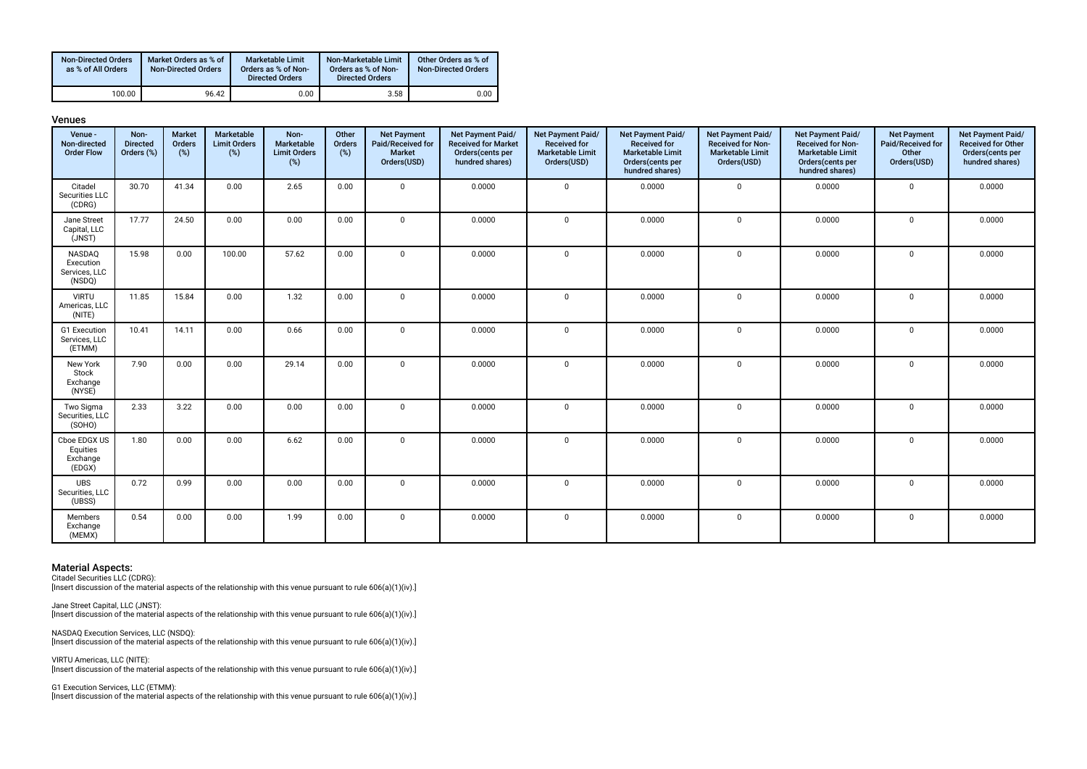| <b>Non-Directed Orders</b><br>as % of All Orders | Market Orders as % of<br><b>Non-Directed Orders</b> | Marketable Limit<br>Orders as % of Non-<br><b>Directed Orders</b> | Non-Marketable Limit<br>Orders as % of Non-<br><b>Directed Orders</b> | Other Orders as % of<br><b>Non-Directed Orders</b> |
|--------------------------------------------------|-----------------------------------------------------|-------------------------------------------------------------------|-----------------------------------------------------------------------|----------------------------------------------------|
| 100.00                                           | 96.42                                               | 0.00                                                              | 3.58                                                                  | 0.00                                               |

| กแ |  |
|----|--|
|----|--|

| .<br>Venue -<br>Non-directed<br><b>Order Flow</b> | Non-<br><b>Directed</b><br>Orders (%) | Market<br><b>Orders</b><br>$(\%)$ | Marketable<br><b>Limit Orders</b><br>(%) | Non-<br>Marketable<br><b>Limit Orders</b><br>$(\%)$ | Other<br>Orders<br>$(\%)$ | <b>Net Payment</b><br>Paid/Received for<br><b>Market</b><br>Orders(USD) | Net Payment Paid/<br><b>Received for Market</b><br>Orders(cents per<br>hundred shares) | Net Payment Paid/<br><b>Received for</b><br><b>Marketable Limit</b><br>Orders(USD) | Net Payment Paid/<br><b>Received for</b><br><b>Marketable Limit</b><br>Orders(cents per | Net Payment Paid/<br><b>Received for Non-</b><br><b>Marketable Limit</b><br>Orders(USD) | Net Payment Paid/<br><b>Received for Non-</b><br><b>Marketable Limit</b><br>Orders(cents per | <b>Net Payment</b><br>Paid/Received for<br>Other<br>Orders(USD) | Net Payment Paid/<br>Received for Other<br>Orders(cents per<br>hundred shares) |
|---------------------------------------------------|---------------------------------------|-----------------------------------|------------------------------------------|-----------------------------------------------------|---------------------------|-------------------------------------------------------------------------|----------------------------------------------------------------------------------------|------------------------------------------------------------------------------------|-----------------------------------------------------------------------------------------|-----------------------------------------------------------------------------------------|----------------------------------------------------------------------------------------------|-----------------------------------------------------------------|--------------------------------------------------------------------------------|
|                                                   |                                       |                                   |                                          |                                                     |                           |                                                                         |                                                                                        |                                                                                    | hundred shares)                                                                         |                                                                                         | hundred shares)                                                                              |                                                                 |                                                                                |
| Citadel<br>Securities LLC<br>(CDRG)               | 30.70                                 | 41.34                             | 0.00                                     | 2.65                                                | 0.00                      | $\mathbf{0}$                                                            | 0.0000                                                                                 | $\mathbf 0$                                                                        | 0.0000                                                                                  | $\mathbf 0$                                                                             | 0.0000                                                                                       | $\mathbf 0$                                                     | 0.0000                                                                         |
| Jane Street<br>Capital, LLC<br>(JNST)             | 17.77                                 | 24.50                             | 0.00                                     | 0.00                                                | 0.00                      | $\mathbf 0$                                                             | 0.0000                                                                                 | $\mathbf 0$                                                                        | 0.0000                                                                                  | $\mathbf 0$                                                                             | 0.0000                                                                                       | $\mathbf 0$                                                     | 0.0000                                                                         |
| NASDAQ<br>Execution<br>Services, LLC<br>(NSDQ)    | 15.98                                 | 0.00                              | 100.00                                   | 57.62                                               | 0.00                      | $\mathbf 0$                                                             | 0.0000                                                                                 | $\mathbf 0$                                                                        | 0.0000                                                                                  | $\mathsf 0$                                                                             | 0.0000                                                                                       | $\mathbf 0$                                                     | 0.0000                                                                         |
| <b>VIRTU</b><br>Americas, LLC<br>(NITE)           | 11.85                                 | 15.84                             | 0.00                                     | 1.32                                                | 0.00                      | $\mathbf 0$                                                             | 0.0000                                                                                 | $\mathbf 0$                                                                        | 0.0000                                                                                  | $\mathbf 0$                                                                             | 0.0000                                                                                       | $\mathbf 0$                                                     | 0.0000                                                                         |
| G1 Execution<br>Services, LLC<br>(ETMM)           | 10.41                                 | 14.11                             | 0.00                                     | 0.66                                                | 0.00                      | $\mathbf 0$                                                             | 0.0000                                                                                 | $\mathbf 0$                                                                        | 0.0000                                                                                  | $\mathbf 0$                                                                             | 0.0000                                                                                       | $\mathbf 0$                                                     | 0.0000                                                                         |
| New York<br>Stock<br>Exchange<br>(NYSE)           | 7.90                                  | 0.00                              | 0.00                                     | 29.14                                               | 0.00                      | $\Omega$                                                                | 0.0000                                                                                 | $\mathbf 0$                                                                        | 0.0000                                                                                  | $\mathbf 0$                                                                             | 0.0000                                                                                       | $\mathbf 0$                                                     | 0.0000                                                                         |
| Two Sigma<br>Securities, LLC<br>(SOHO)            | 2.33                                  | 3.22                              | 0.00                                     | 0.00                                                | 0.00                      | $\mathbf 0$                                                             | 0.0000                                                                                 | $\Omega$                                                                           | 0.0000                                                                                  | $\mathbf 0$                                                                             | 0.0000                                                                                       | $\mathbf 0$                                                     | 0.0000                                                                         |
| Cboe EDGX US<br>Equities<br>Exchange<br>(EDGX)    | 1.80                                  | 0.00                              | 0.00                                     | 6.62                                                | 0.00                      | $\Omega$                                                                | 0.0000                                                                                 | $\Omega$                                                                           | 0.0000                                                                                  | $\mathbf 0$                                                                             | 0.0000                                                                                       | $\mathbf 0$                                                     | 0.0000                                                                         |
| UBS<br>Securities, LLC<br>(UBSS)                  | 0.72                                  | 0.99                              | 0.00                                     | 0.00                                                | 0.00                      | $\Omega$                                                                | 0.0000                                                                                 | $\Omega$                                                                           | 0.0000                                                                                  | $\mathbf 0$                                                                             | 0.0000                                                                                       | $\mathbf 0$                                                     | 0.0000                                                                         |
| Members<br>Exchange<br>(MEMX)                     | 0.54                                  | 0.00                              | 0.00                                     | 1.99                                                | 0.00                      | $\Omega$                                                                | 0.0000                                                                                 | $\mathbf 0$                                                                        | 0.0000                                                                                  | $\mathbf 0$                                                                             | 0.0000                                                                                       | $\mathbf 0$                                                     | 0.0000                                                                         |

Citadel Securities LLC (CDRG):

[Insert discussion of the material aspects of the relationship with this venue pursuant to rule 606(a)(1)(iv).]

Jane Street Capital, LLC (JNST): [Insert discussion of the material aspects of the relationship with this venue pursuant to rule 606(a)(1)(iv).]

NASDAQ Execution Services, LLC (NSDQ): [Insert discussion of the material aspects of the relationship with this venue pursuant to rule 606(a)(1)(iv).]

VIRTU Americas, LLC (NITE): [Insert discussion of the material aspects of the relationship with this venue pursuant to rule 606(a)(1)(iv).]

G1 Execution Services, LLC (ETMM): [Insert discussion of the material aspects of the relationship with this venue pursuant to rule 606(a)(1)(iv).]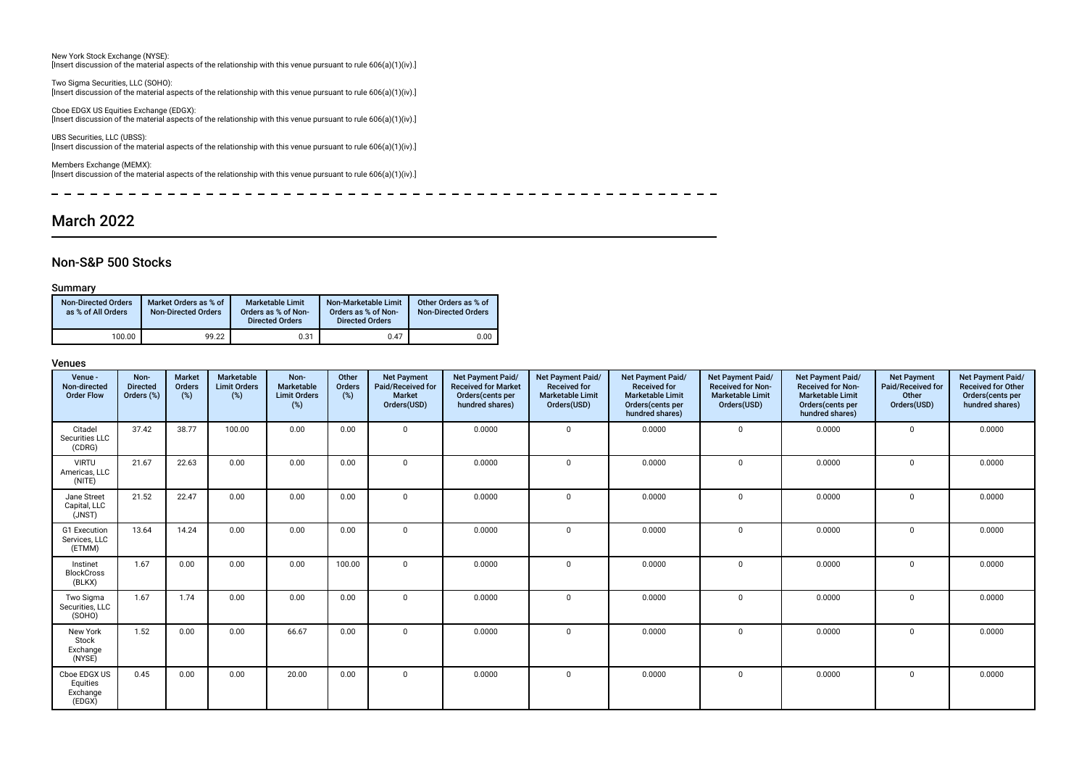New York Stock Exchange (NYSE): [Insert discussion of the material aspects of the relationship with this venue pursuant to rule 606(a)(1)(iv).]

Two Sigma Securities, LLC (SOHO): [Insert discussion of the material aspects of the relationship with this venue pursuant to rule 606(a)(1)(iv).]

Cboe EDGX US Equities Exchange (EDGX): [Insert discussion of the material aspects of the relationship with this venue pursuant to rule 606(a)(1)(iv).]

UBS Securities, LLC (UBSS): [Insert discussion of the material aspects of the relationship with this venue pursuant to rule 606(a)(1)(iv).]

Members Exchange (MEMX): [Insert discussion of the material aspects of the relationship with this venue pursuant to rule 606(a)(1)(iv).]

 $\overline{\phantom{a}}$ --------------------------------------------------

# March 2022

### Non-S&P 500 Stocks

#### Summary

| <b>Non-Directed Orders</b><br>as % of All Orders | Market Orders as % of<br><b>Non-Directed Orders</b> | <b>Marketable Limit</b><br>Orders as % of Non-<br><b>Directed Orders</b> | Non-Marketable Limit<br>Orders as % of Non-<br><b>Directed Orders</b> | Other Orders as % of<br><b>Non-Directed Orders</b> |
|--------------------------------------------------|-----------------------------------------------------|--------------------------------------------------------------------------|-----------------------------------------------------------------------|----------------------------------------------------|
| 100.00                                           | 99.22                                               | 0.31                                                                     | 0.47                                                                  | 0.00                                               |

| Venue -<br>Non-directed<br><b>Order Flow</b>   | Non-<br><b>Directed</b><br>Orders (%) | Market<br>Orders<br>(%) | Marketable<br><b>Limit Orders</b><br>$(\%)$ | Non-<br>Marketable<br><b>Limit Orders</b><br>(%) | Other<br>Orders<br>(%) | <b>Net Payment</b><br>Paid/Received for<br><b>Market</b><br>Orders(USD) | Net Payment Paid/<br><b>Received for Market</b><br>Orders(cents per<br>hundred shares) | Net Payment Paid/<br><b>Received for</b><br><b>Marketable Limit</b><br>Orders(USD) | Net Payment Paid/<br><b>Received for</b><br><b>Marketable Limit</b><br>Orders(cents per<br>hundred shares) | Net Payment Paid/<br><b>Received for Non-</b><br><b>Marketable Limit</b><br>Orders(USD) | Net Payment Paid/<br><b>Received for Non-</b><br><b>Marketable Limit</b><br>Orders(cents per<br>hundred shares) | <b>Net Payment</b><br>Paid/Received for<br>Other<br>Orders(USD) | Net Payment Paid/<br><b>Received for Other</b><br>Orders(cents per<br>hundred shares) |
|------------------------------------------------|---------------------------------------|-------------------------|---------------------------------------------|--------------------------------------------------|------------------------|-------------------------------------------------------------------------|----------------------------------------------------------------------------------------|------------------------------------------------------------------------------------|------------------------------------------------------------------------------------------------------------|-----------------------------------------------------------------------------------------|-----------------------------------------------------------------------------------------------------------------|-----------------------------------------------------------------|---------------------------------------------------------------------------------------|
| Citadel<br>Securities LLC<br>(CDRG)            | 37.42                                 | 38.77                   | 100.00                                      | 0.00                                             | 0.00                   | $\Omega$                                                                | 0.0000                                                                                 | $\mathbf 0$                                                                        | 0.0000                                                                                                     | $\mathbf{0}$                                                                            | 0.0000                                                                                                          | $\mathbf 0$                                                     | 0.0000                                                                                |
| <b>VIRTU</b><br>Americas, LLC<br>(NITE)        | 21.67                                 | 22.63                   | 0.00                                        | 0.00                                             | 0.00                   | $\Omega$                                                                | 0.0000                                                                                 | $\mathbf 0$                                                                        | 0.0000                                                                                                     | $\mathbf 0$                                                                             | 0.0000                                                                                                          | $\Omega$                                                        | 0.0000                                                                                |
| Jane Street<br>Capital, LLC<br>(JNST)          | 21.52                                 | 22.47                   | 0.00                                        | 0.00                                             | 0.00                   | $\Omega$                                                                | 0.0000                                                                                 | $\mathbf 0$                                                                        | 0.0000                                                                                                     | $\mathbf 0$                                                                             | 0.0000                                                                                                          | $\mathbf 0$                                                     | 0.0000                                                                                |
| G1 Execution<br>Services, LLC<br>(ETMM)        | 13.64                                 | 14.24                   | 0.00                                        | 0.00                                             | 0.00                   | $\Omega$                                                                | 0.0000                                                                                 | $\mathbf 0$                                                                        | 0.0000                                                                                                     | $\mathbf 0$                                                                             | 0.0000                                                                                                          | $\Omega$                                                        | 0.0000                                                                                |
| Instinet<br><b>BlockCross</b><br>(BLKX)        | 1.67                                  | 0.00                    | 0.00                                        | 0.00                                             | 100.00                 | $\Omega$                                                                | 0.0000                                                                                 | $\Omega$                                                                           | 0.0000                                                                                                     | $\Omega$                                                                                | 0.0000                                                                                                          | $\Omega$                                                        | 0.0000                                                                                |
| Two Sigma<br>Securities, LLC<br>(SOHO)         | 1.67                                  | 1.74                    | 0.00                                        | 0.00                                             | 0.00                   | $\Omega$                                                                | 0.0000                                                                                 | $\Omega$                                                                           | 0.0000                                                                                                     | $\mathbf 0$                                                                             | 0.0000                                                                                                          | $\Omega$                                                        | 0.0000                                                                                |
| New York<br>Stock<br>Exchange<br>(NYSE)        | 1.52                                  | 0.00                    | 0.00                                        | 66.67                                            | 0.00                   | $\Omega$                                                                | 0.0000                                                                                 | $\mathbf 0$                                                                        | 0.0000                                                                                                     | $\mathbf 0$                                                                             | 0.0000                                                                                                          | $\Omega$                                                        | 0.0000                                                                                |
| Cboe EDGX US<br>Equities<br>Exchange<br>(EDGX) | 0.45                                  | 0.00                    | 0.00                                        | 20.00                                            | 0.00                   | $\Omega$                                                                | 0.0000                                                                                 | $\mathbf 0$                                                                        | 0.0000                                                                                                     | $\mathbf 0$                                                                             | 0.0000                                                                                                          | $\Omega$                                                        | 0.0000                                                                                |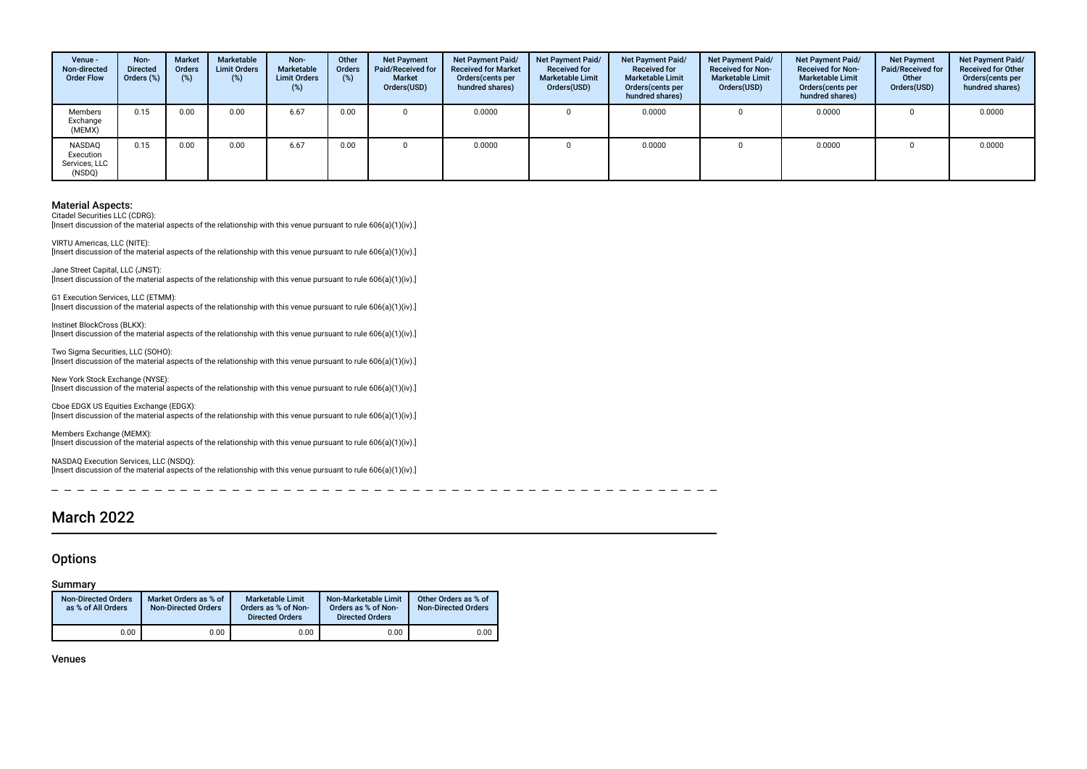| Venue -<br>Non-directed<br><b>Order Flow</b>          | Non-<br><b>Directed</b><br>Orders (%) | <b>Market</b><br>Orders<br>(%) | Marketable<br><b>Limit Orders</b><br>$(\%)$ | Non-<br>Marketable<br><b>Limit Orders</b><br>(%) | Other<br>Orders<br>(%) | <b>Net Payment</b><br>Paid/Received for<br><b>Market</b><br>Orders(USD) | Net Payment Paid/<br><b>Received for Market</b><br>Orders(cents per<br>hundred shares) | Net Payment Paid/<br><b>Received for</b><br><b>Marketable Limit</b><br>Orders(USD) | Net Payment Paid/<br><b>Received for</b><br><b>Marketable Limit</b><br>Orders (cents per<br>hundred shares) | Net Payment Paid/<br><b>Received for Non-</b><br><b>Marketable Limit</b><br>Orders(USD) | Net Payment Paid/<br><b>Received for Non-</b><br><b>Marketable Limit</b><br>Orders(cents per<br>hundred shares) | <b>Net Payment</b><br>Paid/Received for<br>Other<br>Orders(USD) | Net Payment Paid/<br><b>Received for Other</b><br>Orders(cents per<br>hundred shares) |
|-------------------------------------------------------|---------------------------------------|--------------------------------|---------------------------------------------|--------------------------------------------------|------------------------|-------------------------------------------------------------------------|----------------------------------------------------------------------------------------|------------------------------------------------------------------------------------|-------------------------------------------------------------------------------------------------------------|-----------------------------------------------------------------------------------------|-----------------------------------------------------------------------------------------------------------------|-----------------------------------------------------------------|---------------------------------------------------------------------------------------|
| Members<br>Exchange<br>(MEMX)                         | 0.15                                  | 0.00                           | 0.00                                        | 6.67                                             | 0.00                   |                                                                         | 0.0000                                                                                 |                                                                                    | 0.0000                                                                                                      |                                                                                         | 0.0000                                                                                                          |                                                                 | 0.0000                                                                                |
| <b>NASDAO</b><br>Execution<br>Services, LLC<br>(NSDQ) | 0.15                                  | 0.00                           | 0.00                                        | 6.67                                             | 0.00                   |                                                                         | 0.0000                                                                                 |                                                                                    | 0.0000                                                                                                      |                                                                                         | 0.0000                                                                                                          |                                                                 | 0.0000                                                                                |

Citadel Securities LLC (CDRG):

[Insert discussion of the material aspects of the relationship with this venue pursuant to rule 606(a)(1)(iv).]

VIRTU Americas, LLC (NITE):  $\lim$  insert discussion of the material aspects of the relationship with this venue pursuant to rule 606(a)(1)(iv).

Jane Street Capital, LLC (JNST): [Insert discussion of the material aspects of the relationship with this venue pursuant to rule 606(a)(1)(iv).]

G1 Execution Services, LLC (ETMM): [Insert discussion of the material aspects of the relationship with this venue pursuant to rule 606(a)(1)(iv).]

Instinet BlockCross (BLKX): [Insert discussion of the material aspects of the relationship with this venue pursuant to rule 606(a)(1)(iv).]

Two Sigma Securities, LLC (SOHO): [Insert discussion of the material aspects of the relationship with this venue pursuant to rule 606(a)(1)(iv).]

New York Stock Exchange (NYSE): [Insert discussion of the material aspects of the relationship with this venue pursuant to rule 606(a)(1)(iv).]

Cboe EDGX US Equities Exchange (EDGX): [Insert discussion of the material aspects of the relationship with this venue pursuant to rule 606(a)(1)(iv).]

Members Exchange (MEMX): [Insert discussion of the material aspects of the relationship with this venue pursuant to rule 606(a)(1)(iv).]

NASDAQ Execution Services, LLC (NSDQ): [Insert discussion of the material aspects of the relationship with this venue pursuant to rule 606(a)(1)(iv).]

# March 2022

### **Options**

#### Summary

| <b>Non-Directed Orders</b><br>as % of All Orders | Market Orders as % of<br>Non-Directed Orders | <b>Marketable Limit</b><br>Orders as % of Non-<br><b>Directed Orders</b> | Non-Marketable Limit<br>Orders as % of Non-<br><b>Directed Orders</b> | Other Orders as % of<br><b>Non-Directed Orders</b> |
|--------------------------------------------------|----------------------------------------------|--------------------------------------------------------------------------|-----------------------------------------------------------------------|----------------------------------------------------|
| 0.00                                             | 0.00                                         | 0.00                                                                     | 0.00                                                                  | 0.00                                               |